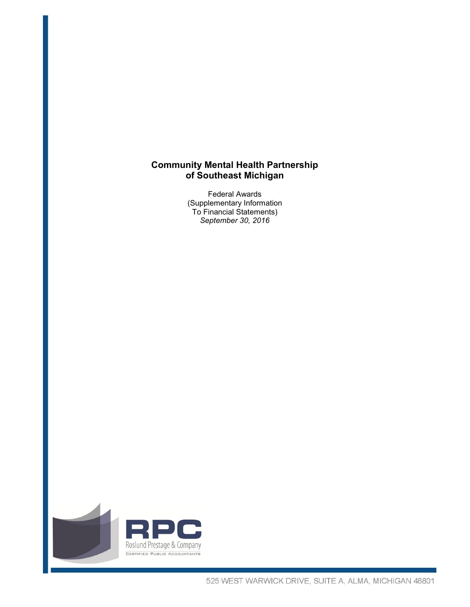# **Community Mental Health Partnership of Southeast Michigan**

Federal Awards (Supplementary Information To Financial Statements) *September 30, 2016* 

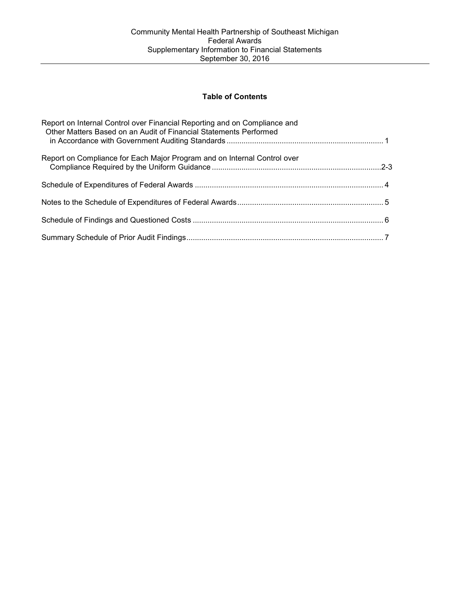## **Table of Contents**

| Report on Internal Control over Financial Reporting and on Compliance and<br>Other Matters Based on an Audit of Financial Statements Performed |  |
|------------------------------------------------------------------------------------------------------------------------------------------------|--|
| Report on Compliance for Each Major Program and on Internal Control over                                                                       |  |
|                                                                                                                                                |  |
|                                                                                                                                                |  |
|                                                                                                                                                |  |
|                                                                                                                                                |  |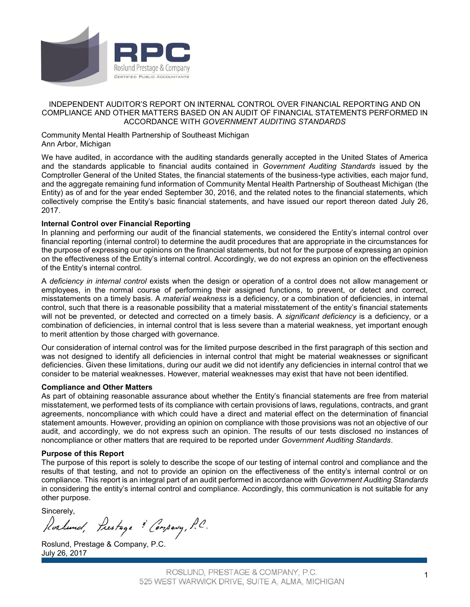

## INDEPENDENT AUDITOR'S REPORT ON INTERNAL CONTROL OVER FINANCIAL REPORTING AND ON COMPLIANCE AND OTHER MATTERS BASED ON AN AUDIT OF FINANCIAL STATEMENTS PERFORMED IN ACCORDANCE WITH *GOVERNMENT AUDITING STANDARDS*

Community Mental Health Partnership of Southeast Michigan Ann Arbor, Michigan

We have audited, in accordance with the auditing standards generally accepted in the United States of America and the standards applicable to financial audits contained in *Government Auditing Standards* issued by the Comptroller General of the United States, the financial statements of the business-type activities, each major fund, and the aggregate remaining fund information of Community Mental Health Partnership of Southeast Michigan (the Entity) as of and for the year ended September 30, 2016, and the related notes to the financial statements, which collectively comprise the Entity's basic financial statements, and have issued our report thereon dated July 26, 2017.

## **Internal Control over Financial Reporting**

In planning and performing our audit of the financial statements, we considered the Entity's internal control over financial reporting (internal control) to determine the audit procedures that are appropriate in the circumstances for the purpose of expressing our opinions on the financial statements, but not for the purpose of expressing an opinion on the effectiveness of the Entity's internal control. Accordingly, we do not express an opinion on the effectiveness of the Entity's internal control.

A *deficiency in internal control* exists when the design or operation of a control does not allow management or employees, in the normal course of performing their assigned functions, to prevent, or detect and correct, misstatements on a timely basis. A *material weakness* is a deficiency, or a combination of deficiencies, in internal control, such that there is a reasonable possibility that a material misstatement of the entity's financial statements will not be prevented, or detected and corrected on a timely basis. A *significant deficiency* is a deficiency, or a combination of deficiencies, in internal control that is less severe than a material weakness, yet important enough to merit attention by those charged with governance.

Our consideration of internal control was for the limited purpose described in the first paragraph of this section and was not designed to identify all deficiencies in internal control that might be material weaknesses or significant deficiencies. Given these limitations, during our audit we did not identify any deficiencies in internal control that we consider to be material weaknesses. However, material weaknesses may exist that have not been identified.

#### **Compliance and Other Matters**

As part of obtaining reasonable assurance about whether the Entity's financial statements are free from material misstatement, we performed tests of its compliance with certain provisions of laws, regulations, contracts, and grant agreements, noncompliance with which could have a direct and material effect on the determination of financial statement amounts. However, providing an opinion on compliance with those provisions was not an objective of our audit, and accordingly, we do not express such an opinion. The results of our tests disclosed no instances of noncompliance or other matters that are required to be reported under *Government Auditing Standards*.

#### **Purpose of this Report**

The purpose of this report is solely to describe the scope of our testing of internal control and compliance and the results of that testing, and not to provide an opinion on the effectiveness of the entity's internal control or on compliance. This report is an integral part of an audit performed in accordance with *Government Auditing Standards* in considering the entity's internal control and compliance. Accordingly, this communication is not suitable for any other purpose.

Sincerely,<br>Roshund, Prestage & Company, P.C.

Roslund, Prestage & Company, P.C. July 26, 2017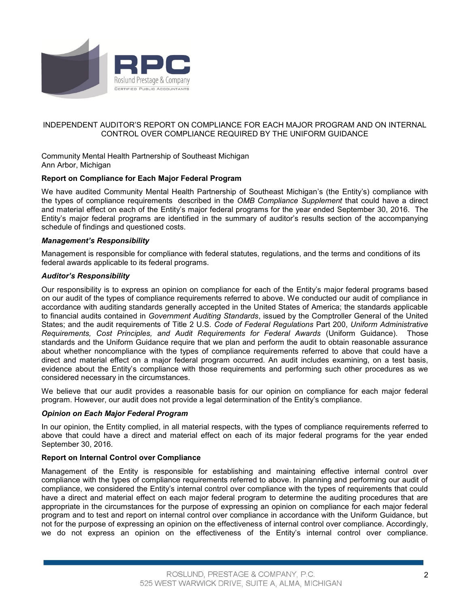

## INDEPENDENT AUDITOR'S REPORT ON COMPLIANCE FOR EACH MAJOR PROGRAM AND ON INTERNAL CONTROL OVER COMPLIANCE REQUIRED BY THE UNIFORM GUIDANCE

Community Mental Health Partnership of Southeast Michigan Ann Arbor, Michigan

## **Report on Compliance for Each Major Federal Program**

We have audited Community Mental Health Partnership of Southeast Michigan's (the Entity's) compliance with the types of compliance requirements described in the *OMB Compliance Supplement* that could have a direct and material effect on each of the Entity's major federal programs for the year ended September 30, 2016. The Entity's major federal programs are identified in the summary of auditor's results section of the accompanying schedule of findings and questioned costs.

#### *Management's Responsibility*

Management is responsible for compliance with federal statutes, regulations, and the terms and conditions of its federal awards applicable to its federal programs.

#### *Auditor's Responsibility*

Our responsibility is to express an opinion on compliance for each of the Entity's major federal programs based on our audit of the types of compliance requirements referred to above. We conducted our audit of compliance in accordance with auditing standards generally accepted in the United States of America; the standards applicable to financial audits contained in *Government Auditing Standards*, issued by the Comptroller General of the United States; and the audit requirements of Title 2 U.S. *Code of Federal Regulations* Part 200, *Uniform Administrative Requirements, Cost Principles, and Audit Requirements for Federal Awards* (Uniform Guidance). Those standards and the Uniform Guidance require that we plan and perform the audit to obtain reasonable assurance about whether noncompliance with the types of compliance requirements referred to above that could have a direct and material effect on a major federal program occurred. An audit includes examining, on a test basis, evidence about the Entity's compliance with those requirements and performing such other procedures as we considered necessary in the circumstances.

We believe that our audit provides a reasonable basis for our opinion on compliance for each major federal program. However, our audit does not provide a legal determination of the Entity's compliance.

## *Opinion on Each Major Federal Program*

In our opinion, the Entity complied, in all material respects, with the types of compliance requirements referred to above that could have a direct and material effect on each of its major federal programs for the year ended September 30, 2016.

#### **Report on Internal Control over Compliance**

Management of the Entity is responsible for establishing and maintaining effective internal control over compliance with the types of compliance requirements referred to above. In planning and performing our audit of compliance, we considered the Entity's internal control over compliance with the types of requirements that could have a direct and material effect on each major federal program to determine the auditing procedures that are appropriate in the circumstances for the purpose of expressing an opinion on compliance for each major federal program and to test and report on internal control over compliance in accordance with the Uniform Guidance, but not for the purpose of expressing an opinion on the effectiveness of internal control over compliance. Accordingly, we do not express an opinion on the effectiveness of the Entity's internal control over compliance.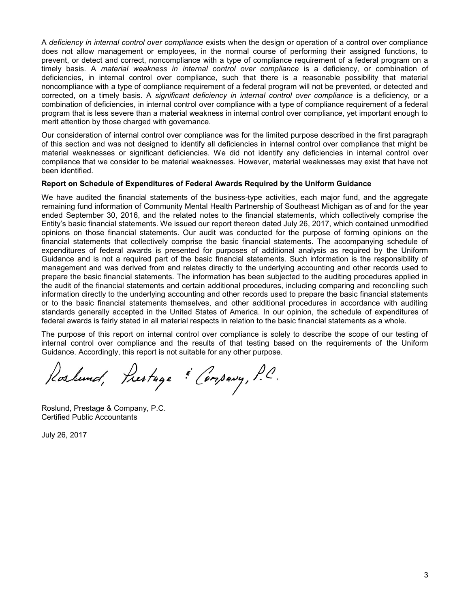A *deficiency in internal control over compliance* exists when the design or operation of a control over compliance does not allow management or employees, in the normal course of performing their assigned functions, to prevent, or detect and correct, noncompliance with a type of compliance requirement of a federal program on a timely basis. A *material weakness in internal control over compliance* is a deficiency, or combination of deficiencies, in internal control over compliance, such that there is a reasonable possibility that material noncompliance with a type of compliance requirement of a federal program will not be prevented, or detected and corrected, on a timely basis. A *significant deficiency in internal control over compliance* is a deficiency, or a combination of deficiencies, in internal control over compliance with a type of compliance requirement of a federal program that is less severe than a material weakness in internal control over compliance, yet important enough to merit attention by those charged with governance.

Our consideration of internal control over compliance was for the limited purpose described in the first paragraph of this section and was not designed to identify all deficiencies in internal control over compliance that might be material weaknesses or significant deficiencies. We did not identify any deficiencies in internal control over compliance that we consider to be material weaknesses. However, material weaknesses may exist that have not been identified.

#### **Report on Schedule of Expenditures of Federal Awards Required by the Uniform Guidance**

We have audited the financial statements of the business-type activities, each major fund, and the aggregate remaining fund information of Community Mental Health Partnership of Southeast Michigan as of and for the year ended September 30, 2016, and the related notes to the financial statements, which collectively comprise the Entity's basic financial statements. We issued our report thereon dated July 26, 2017, which contained unmodified opinions on those financial statements. Our audit was conducted for the purpose of forming opinions on the financial statements that collectively comprise the basic financial statements. The accompanying schedule of expenditures of federal awards is presented for purposes of additional analysis as required by the Uniform Guidance and is not a required part of the basic financial statements. Such information is the responsibility of management and was derived from and relates directly to the underlying accounting and other records used to prepare the basic financial statements. The information has been subjected to the auditing procedures applied in the audit of the financial statements and certain additional procedures, including comparing and reconciling such information directly to the underlying accounting and other records used to prepare the basic financial statements or to the basic financial statements themselves, and other additional procedures in accordance with auditing standards generally accepted in the United States of America. In our opinion, the schedule of expenditures of federal awards is fairly stated in all material respects in relation to the basic financial statements as a whole.

The purpose of this report on internal control over compliance is solely to describe the scope of our testing of internal control over compliance and the results of that testing based on the requirements of the Uniform Guidance. Accordingly, this report is not suitable for any other purpose.

Roslund, Prestage & Company, P.C.

Roslund, Prestage & Company, P.C. Certified Public Accountants

July 26, 2017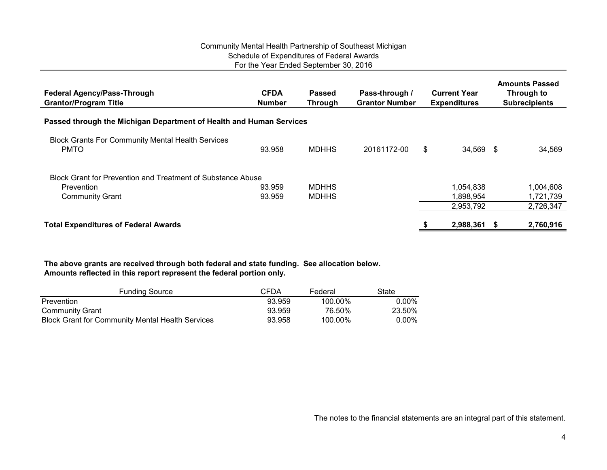## Community Mental Health Partnership of Southeast Michigan Schedule of Expenditures of Federal Awards For the Year Ended September 30, 2016

| <b>Federal Agency/Pass-Through</b><br><b>Grantor/Program Title</b>      | <b>CFDA</b><br><b>Number</b> | Passed<br><b>Through</b> | Pass-through /<br><b>Grantor Number</b> | <b>Current Year</b><br><b>Expenditures</b> |           | <b>Amounts Passed</b><br>Through to<br><b>Subrecipients</b> |           |
|-------------------------------------------------------------------------|------------------------------|--------------------------|-----------------------------------------|--------------------------------------------|-----------|-------------------------------------------------------------|-----------|
| Passed through the Michigan Department of Health and Human Services     |                              |                          |                                         |                                            |           |                                                             |           |
| <b>Block Grants For Community Mental Health Services</b><br><b>PMTO</b> | 93.958                       | <b>MDHHS</b>             | 20161172-00                             | \$                                         | 34,569 \$ |                                                             | 34,569    |
| Block Grant for Prevention and Treatment of Substance Abuse             |                              |                          |                                         |                                            |           |                                                             |           |
| Prevention                                                              | 93.959                       | <b>MDHHS</b>             |                                         |                                            | 1,054,838 |                                                             | 1,004,608 |
| <b>Community Grant</b>                                                  | 93.959                       | <b>MDHHS</b>             |                                         |                                            | 1.898.954 |                                                             | 1,721,739 |
|                                                                         |                              |                          |                                         |                                            | 2,953,792 |                                                             | 2,726,347 |
| <b>Total Expenditures of Federal Awards</b>                             |                              |                          |                                         |                                            | 2,988,361 | - 55                                                        | 2,760,916 |

**The above grants are received through both federal and state funding. See allocation below. Amounts reflected in this report represent the federal portion only.**

| <b>Funding Source</b>                                   | CFDA   | Federal | State  |
|---------------------------------------------------------|--------|---------|--------|
| Prevention                                              | 93.959 | 100.00% | 0.00%  |
| Community Grant                                         | 93.959 | 76.50%  | 23.50% |
| <b>Block Grant for Community Mental Health Services</b> | 93.958 | 100.00% | 0.00%  |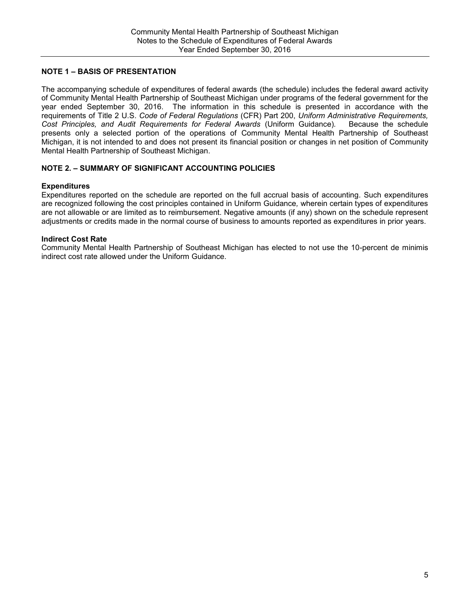## **NOTE 1 – BASIS OF PRESENTATION**

The accompanying schedule of expenditures of federal awards (the schedule) includes the federal award activity of Community Mental Health Partnership of Southeast Michigan under programs of the federal government for the year ended September 30, 2016. The information in this schedule is presented in accordance with the requirements of Title 2 U.S. *Code of Federal Regulations* (CFR) Part 200, *Uniform Administrative Requirements, Cost Principles, and Audit Requirements for Federal Awards* (Uniform Guidance)*.* Because the schedule presents only a selected portion of the operations of Community Mental Health Partnership of Southeast Michigan, it is not intended to and does not present its financial position or changes in net position of Community Mental Health Partnership of Southeast Michigan.

## **NOTE 2. – SUMMARY OF SIGNIFICANT ACCOUNTING POLICIES**

#### **Expenditures**

Expenditures reported on the schedule are reported on the full accrual basis of accounting. Such expenditures are recognized following the cost principles contained in Uniform Guidance*,* wherein certain types of expenditures are not allowable or are limited as to reimbursement. Negative amounts (if any) shown on the schedule represent adjustments or credits made in the normal course of business to amounts reported as expenditures in prior years.

## **Indirect Cost Rate**

Community Mental Health Partnership of Southeast Michigan has elected to not use the 10-percent de minimis indirect cost rate allowed under the Uniform Guidance.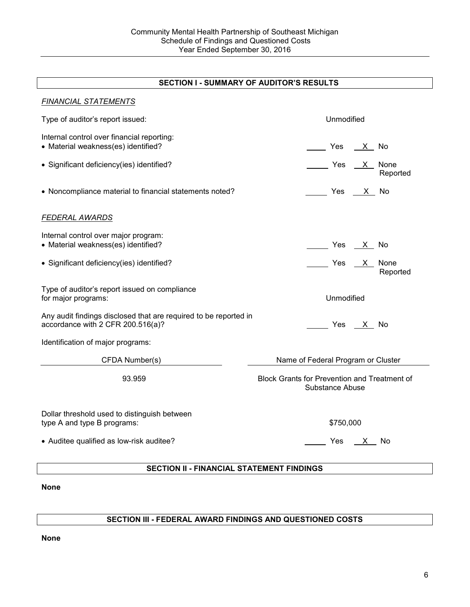# **SECTION I - SUMMARY OF AUDITOR'S RESULTS**

| <b>SECTION II - FINANCIAL STATEMENT FINDINGS</b>                                                      |                                                                        |  |  |  |  |
|-------------------------------------------------------------------------------------------------------|------------------------------------------------------------------------|--|--|--|--|
| • Auditee qualified as low-risk auditee?                                                              | Yes X No                                                               |  |  |  |  |
| Dollar threshold used to distinguish between<br>type A and type B programs:                           | \$750,000                                                              |  |  |  |  |
| 93.959                                                                                                | <b>Block Grants for Prevention and Treatment of</b><br>Substance Abuse |  |  |  |  |
| CFDA Number(s)                                                                                        | Name of Federal Program or Cluster                                     |  |  |  |  |
| Identification of major programs:                                                                     |                                                                        |  |  |  |  |
| Any audit findings disclosed that are required to be reported in<br>accordance with 2 CFR 200.516(a)? | Yes <u>X</u> No                                                        |  |  |  |  |
| Type of auditor's report issued on compliance<br>for major programs:                                  | Unmodified                                                             |  |  |  |  |
| • Significant deficiency(ies) identified?                                                             | Ves X None<br>Reported                                                 |  |  |  |  |
| Internal control over major program:<br>• Material weakness(es) identified?                           | _______ Yes ___ <u>X _</u> _ No                                        |  |  |  |  |
| <b>FEDERAL AWARDS</b>                                                                                 |                                                                        |  |  |  |  |
| • Noncompliance material to financial statements noted?                                               | Yes X No                                                               |  |  |  |  |
| • Significant deficiency(ies) identified?                                                             | None<br>Reported                                                       |  |  |  |  |
| Internal control over financial reporting:<br>• Material weakness(es) identified?                     | Yes X No                                                               |  |  |  |  |
| Type of auditor's report issued:                                                                      | Unmodified                                                             |  |  |  |  |
| <b>FINANCIAL STATEMENTS</b>                                                                           |                                                                        |  |  |  |  |

**None**

## **SECTION III - FEDERAL AWARD FINDINGS AND QUESTIONED COSTS**

**None**